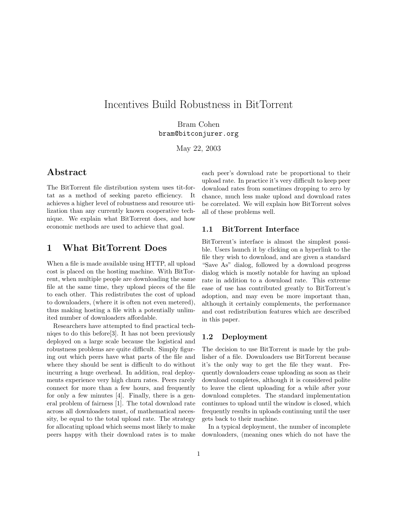# Incentives Build Robustness in BitTorrent

Bram Cohen bram@bitconjurer.org

May 22, 2003

## Abstract

The BitTorrent file distribution system uses tit-fortat as a method of seeking pareto efficiency. It achieves a higher level of robustness and resource utilization than any currently known cooperative technique. We explain what BitTorrent does, and how economic methods are used to achieve that goal.

## 1 What BitTorrent Does

When a file is made available using HTTP, all upload cost is placed on the hosting machine. With BitTorrent, when multiple people are downloading the same file at the same time, they upload pieces of the file to each other. This redistributes the cost of upload to downloaders, (where it is often not even metered), thus making hosting a file with a potentially unlimited number of downloaders affordable.

Researchers have attempted to find practical techniqes to do this before[3]. It has not been previously deployed on a large scale because the logistical and robustness problems are quite difficult. Simply figuring out which peers have what parts of the file and where they should be sent is difficult to do without incurring a huge overhead. In addition, real deployments experience very high churn rates. Peers rarely connect for more than a few hours, and frequently for only a few minutes [4]. Finally, there is a general problem of fairness [1]. The total download rate across all downloaders must, of mathematical necessity, be equal to the total upload rate. The strategy for allocating upload which seems most likely to make peers happy with their download rates is to make each peer's download rate be proportional to their upload rate. In practice it's very difficult to keep peer download rates from sometimes dropping to zero by chance, much less make upload and download rates be correlated. We will explain how BitTorrent solves all of these problems well.

## 1.1 BitTorrent Interface

BitTorrent's interface is almost the simplest possible. Users launch it by clicking on a hyperlink to the file they wish to download, and are given a standard "Save As" dialog, followed by a download progress dialog which is mostly notable for having an upload rate in addition to a download rate. This extreme ease of use has contributed greatly to BitTorrent's adoption, and may even be more important than, although it certainly complements, the performance and cost redistribution features which are described in this paper.

## 1.2 Deployment

The decision to use BitTorrent is made by the publisher of a file. Downloaders use BitTorrent because it's the only way to get the file they want. Frequently downloaders cease uploading as soon as their download completes, although it is considered polite to leave the client uploading for a while after your download completes. The standard implementation continues to upload until the window is closed, which frequently results in uploads continuing until the user gets back to their machine.

In a typical deployment, the number of incomplete downloaders, (meaning ones which do not have the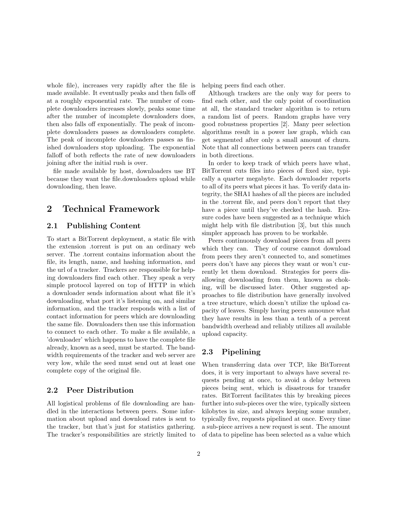whole file), increases very rapidly after the file is made available. It eventually peaks and then falls off at a roughly exponential rate. The number of complete downloaders increases slowly, peaks some time after the number of incomplete downloaders does, then also falls off exponentially. The peak of incomplete downloaders passes as downloaders complete. The peak of incomplete downloaders passes as finished downloaders stop uploading. The exponential falloff of both reflects the rate of new downloaders joining after the initial rush is over.

file made available by host, downloaders use BT because they want the file.downloaders upload while downloading, then leave.

## 2 Technical Framework

### 2.1 Publishing Content

To start a BitTorrent deployment, a static file with the extension .torrent is put on an ordinary web server. The .torrent contains information about the file, its length, name, and hashing information, and the url of a tracker. Trackers are responsible for helping downloaders find each other. They speak a very simple protocol layered on top of HTTP in which a downloader sends information about what file it's downloading, what port it's listening on, and similar information, and the tracker responds with a list of contact information for peers which are downloading the same file. Downloaders then use this information to connect to each other. To make a file available, a 'downloader' which happens to have the complete file already, known as a seed, must be started. The bandwidth requirements of the tracker and web server are very low, while the seed must send out at least one complete copy of the original file.

#### 2.2 Peer Distribution

All logistical problems of file downloading are handled in the interactions between peers. Some information about upload and download rates is sent to the tracker, but that's just for statistics gathering. The tracker's responsibilities are strictly limited to helping peers find each other.

Although trackers are the only way for peers to find each other, and the only point of coordination at all, the standard tracker algorithm is to return a random list of peers. Random graphs have very good robustness properties [2]. Many peer selection algorithms result in a power law graph, which can get segmented after only a small amount of churn. Note that all connections between peers can transfer in both directions.

In order to keep track of which peers have what, BitTorrent cuts files into pieces of fixed size, typically a quarter megabyte. Each downloader reports to all of its peers what pieces it has. To verify data integrity, the SHA1 hashes of all the pieces are included in the .torrent file, and peers don't report that they have a piece until they've checked the hash. Erasure codes have been suggested as a technique which might help with file distribution [3], but this much simpler approach has proven to be workable.

Peers continuously download pieces from all peers which they can. They of course cannot download from peers they aren't connected to, and sometimes peers don't have any pieces they want or won't currently let them download. Strategies for peers disallowing downloading from them, known as choking, will be discussed later. Other suggested approaches to file distribution have generally involved a tree structure, which doesn't utilize the upload capacity of leaves. Simply having peers announce what they have results in less than a tenth of a percent bandwidth overhead and reliably utilizes all available upload capacity.

## 2.3 Pipelining

When transferring data over TCP, like BitTorrent does, it is very important to always have several requests pending at once, to avoid a delay between pieces being sent, which is disastrous for transfer rates. BitTorrent facilitates this by breaking pieces further into sub-pieces over the wire, typically sixteen kilobytes in size, and always keeping some number, typically five, requests pipelined at once. Every time a sub-piece arrives a new request is sent. The amount of data to pipeline has been selected as a value which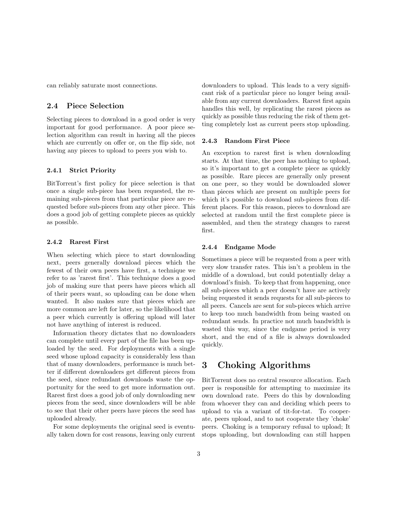can reliably saturate most connections.

### 2.4 Piece Selection

Selecting pieces to download in a good order is very important for good performance. A poor piece selection algorithm can result in having all the pieces which are currently on offer or, on the flip side, not having any pieces to upload to peers you wish to.

#### 2.4.1 Strict Priority

BitTorrent's first policy for piece selection is that once a single sub-piece has been requested, the remaining sub-pieces from that particular piece are requested before sub-pieces from any other piece. This does a good job of getting complete pieces as quickly as possible.

#### 2.4.2 Rarest First

When selecting which piece to start downloading next, peers generally download pieces which the fewest of their own peers have first, a technique we refer to as 'rarest first'. This technique does a good job of making sure that peers have pieces which all of their peers want, so uploading can be done when wanted. It also makes sure that pieces which are more common are left for later, so the likelihood that a peer which currently is offering upload will later not have anything of interest is reduced.

Information theory dictates that no downloaders can complete until every part of the file has been uploaded by the seed. For deployments with a single seed whose upload capacity is considerably less than that of many downloaders, performance is much better if different downloaders get different pieces from the seed, since redundant downloads waste the opportunity for the seed to get more information out. Rarest first does a good job of only downloading new pieces from the seed, since downloaders will be able to see that their other peers have pieces the seed has uploaded already.

For some deployments the original seed is eventually taken down for cost reasons, leaving only current downloaders to upload. This leads to a very significant risk of a particular piece no longer being available from any current downloaders. Rarest first again handles this well, by replicating the rarest pieces as quickly as possible thus reducing the risk of them getting completely lost as current peers stop uploading.

#### 2.4.3 Random First Piece

An exception to rarest first is when downloading starts. At that time, the peer has nothing to upload, so it's important to get a complete piece as quickly as possible. Rare pieces are generally only present on one peer, so they would be downloaded slower than pieces which are present on multiple peers for which it's possible to download sub-pieces from different places. For this reason, pieces to download are selected at random until the first complete piece is assembled, and then the strategy changes to rarest first.

#### 2.4.4 Endgame Mode

Sometimes a piece will be requested from a peer with very slow transfer rates. This isn't a problem in the middle of a download, but could potentially delay a download's finish. To keep that from happening, once all sub-pieces which a peer doesn't have are actively being requested it sends requests for all sub-pieces to all peers. Cancels are sent for sub-pieces which arrive to keep too much bandwidth from being wasted on redundant sends. In practice not much bandwidth is wasted this way, since the endgame period is very short, and the end of a file is always downloaded quickly.

## 3 Choking Algorithms

BitTorrent does no central resource allocation. Each peer is responsible for attempting to maximize its own download rate. Peers do this by downloading from whoever they can and deciding which peers to upload to via a variant of tit-for-tat. To cooperate, peers upload, and to not cooperate they 'choke' peers. Choking is a temporary refusal to upload; It stops uploading, but downloading can still happen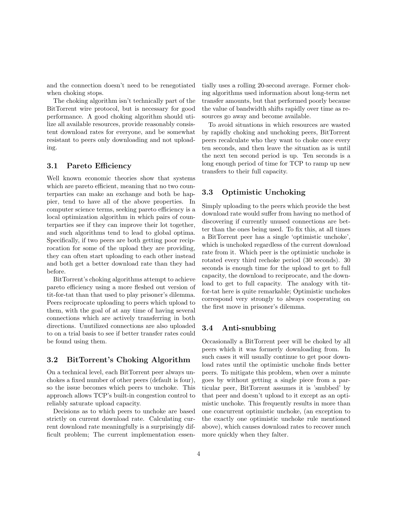and the connection doesn't need to be renegotiated when choking stops.

The choking algorithm isn't technically part of the BitTorrent wire protocol, but is necessary for good performance. A good choking algorithm should utilize all available resources, provide reasonably consistent download rates for everyone, and be somewhat resistant to peers only downloading and not uploading.

#### 3.1 Pareto Efficiency

Well known economic theories show that systems which are pareto efficient, meaning that no two counterparties can make an exchange and both be happier, tend to have all of the above properties. In computer science terms, seeking pareto efficiency is a local optimization algorithm in which pairs of counterparties see if they can improve their lot together, and such algorithms tend to lead to global optima. Specifically, if two peers are both getting poor reciprocation for some of the upload they are providing, they can often start uploading to each other instead and both get a better download rate than they had before.

BitTorrent's choking algorithms attempt to achieve pareto efficiency using a more fleshed out version of tit-for-tat than that used to play prisoner's dilemma. Peers reciprocate uploading to peers which upload to them, with the goal of at any time of having several connections which are actively transferring in both directions. Unutilized connections are also uploaded to on a trial basis to see if better transfer rates could be found using them.

#### 3.2 BitTorrent's Choking Algorithm

On a technical level, each BitTorrent peer always unchokes a fixed number of other peers (default is four), so the issue becomes which peers to unchoke. This approach allows TCP's built-in congestion control to reliably saturate upload capacity.

Decisions as to which peers to unchoke are based strictly on current download rate. Calculating current download rate meaningfully is a surprisingly difficult problem; The current implementation essentially uses a rolling 20-second average. Former choking algorithms used information about long-term net transfer amounts, but that performed poorly because the value of bandwidth shifts rapidly over time as resources go away and become available.

To avoid situations in which resources are wasted by rapidly choking and unchoking peers, BitTorrent peers recalculate who they want to choke once every ten seconds, and then leave the situation as is until the next ten second period is up. Ten seconds is a long enough period of time for TCP to ramp up new transfers to their full capacity.

### 3.3 Optimistic Unchoking

Simply uploading to the peers which provide the best download rate would suffer from having no method of discovering if currently unused connections are better than the ones being used. To fix this, at all times a BitTorrent peer has a single 'optimistic unchoke', which is unchoked regardless of the current download rate from it. Which peer is the optimistic unchoke is rotated every third rechoke period (30 seconds). 30 seconds is enough time for the upload to get to full capacity, the download to reciprocate, and the download to get to full capacity. The analogy with titfor-tat here is quite remarkable; Optimistic unchokes correspond very strongly to always cooperating on the first move in prisoner's dilemma.

### 3.4 Anti-snubbing

Occasionally a BitTorrent peer will be choked by all peers which it was formerly downloading from. In such cases it will usually continue to get poor download rates until the optimistic unchoke finds better peers. To mitigate this problem, when over a minute goes by without getting a single piece from a particular peer, BitTorrent assumes it is 'snubbed' by that peer and doesn't upload to it except as an optimistic unchoke. This frequently results in more than one concurrent optimistic unchoke, (an exception to the exactly one optimistic unchoke rule mentioned above), which causes download rates to recover much more quickly when they falter.